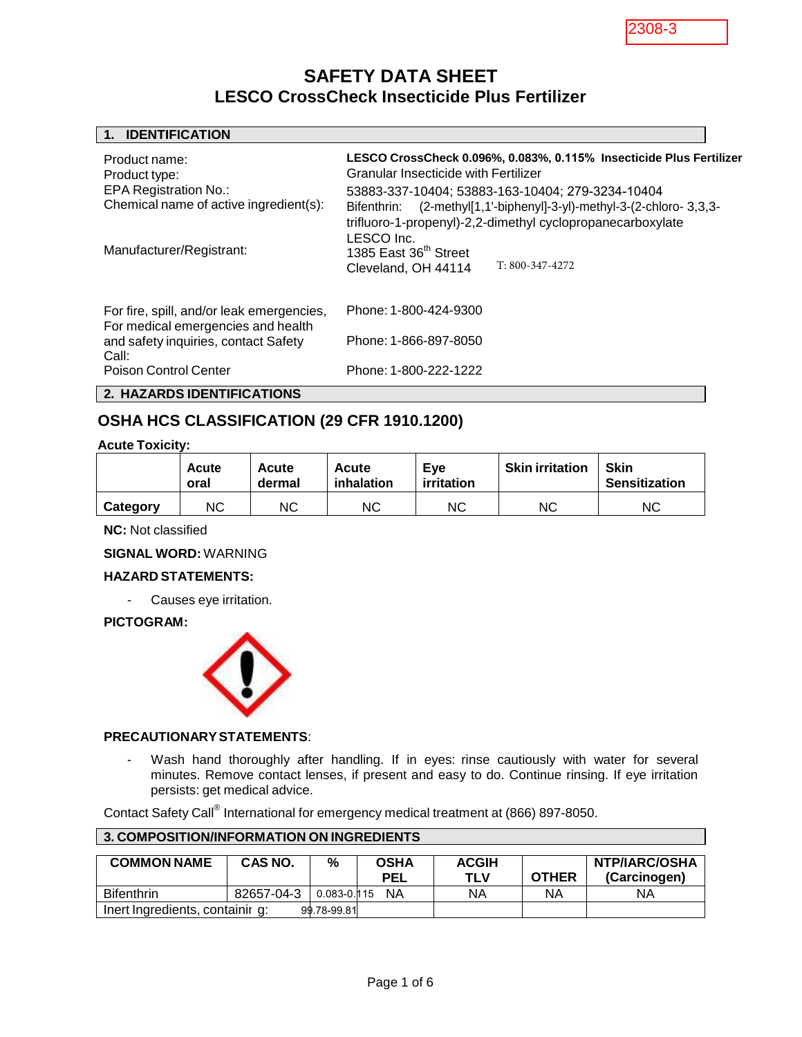2308-3

# **SAFETY DATA SHEET LESCO CrossCheck Insecticide Plus Fertilizer**

| <b>IDENTIFICATION</b>                                                           |                                                                                                               |  |  |  |  |  |
|---------------------------------------------------------------------------------|---------------------------------------------------------------------------------------------------------------|--|--|--|--|--|
| Product name:                                                                   | LESCO CrossCheck 0.096%, 0.083%, 0.115% Insecticide Plus Fertilizer                                           |  |  |  |  |  |
| Product type:                                                                   | Granular Insecticide with Fertilizer                                                                          |  |  |  |  |  |
| <b>EPA Registration No.:</b>                                                    | 53883-337-10404; 53883-163-10404; 279-3234-10404                                                              |  |  |  |  |  |
| Chemical name of active ingredient(s):                                          | (2-methyl[1,1'-biphenyl]-3-yl)-methyl-3-(2-chloro-3,3,3-<br>Bifenthrin:                                       |  |  |  |  |  |
| Manufacturer/Registrant:                                                        | trifluoro-1-propenyl)-2,2-dimethyl cyclopropanecarboxylate<br>LESCO Inc.<br>1385 East 36 <sup>th</sup> Street |  |  |  |  |  |
|                                                                                 | $T: 800-347-4272$<br>Cleveland, OH 44114                                                                      |  |  |  |  |  |
|                                                                                 |                                                                                                               |  |  |  |  |  |
| For fire, spill, and/or leak emergencies,<br>For medical emergencies and health | Phone: 1-800-424-9300                                                                                         |  |  |  |  |  |
| and safety inquiries, contact Safety<br>Call:                                   | Phone: 1-866-897-8050                                                                                         |  |  |  |  |  |
| Poison Control Center                                                           | Phone: 1-800-222-1222                                                                                         |  |  |  |  |  |
| 2. HAZARDS IDENTIFICATIONS                                                      |                                                                                                               |  |  |  |  |  |

### Bluff **OSHA HCS CLASSIFICATION (29 CFR 1910.1200)**

#### **Acute Toxicity:**

|          | Acute<br>oral | Acute<br>dermal | Eve<br>Acute<br>irritation<br>inhalation |    | <b>Skin irritation</b> | <b>Skin</b><br><b>Sensitization</b> |
|----------|---------------|-----------------|------------------------------------------|----|------------------------|-------------------------------------|
| Category | NС            | ΝC              | ΝC                                       | NC | ΝC                     | ΝC                                  |

**NC:** Not classified

**SIGNAL WORD:** WARNING

#### **HAZARD STATEMENTS:**

- Causes eye irritation.

#### **PICTOGRAM:**



**3. COMPOSITION/INFORMATION ON INGREDIENTS**

#### **PRECAUTIONARY STATEMENTS**:

Wash hand thoroughly after handling. If in eyes: rinse cautiously with water for several minutes. Remove contact lenses, if present and easy to do. Continue rinsing. If eye irritation persists: get medical advice.

Contact Safety Call® International for emergency medical treatment at (866) 897-8050.

| <u>VI V VIIII V VIIIIVIIVIII VIIIII/III VIII VIIIII VIII II V</u> |            |             |             |              |              |               |
|-------------------------------------------------------------------|------------|-------------|-------------|--------------|--------------|---------------|
|                                                                   |            |             |             |              |              |               |
| <b>COMMON NAME</b>                                                | CAS NO.    | %           | <b>OSHA</b> | <b>ACGIH</b> |              | NTP/IARC/OSHA |
|                                                                   |            |             | <b>PEL</b>  | TLV          | <b>OTHER</b> | (Carcinogen)  |
| <b>Bifenthrin</b>                                                 | 82657-04-3 | 0.083-0.115 | NA.         | ΝA           | ΝA           | ΝA            |
| Inert Ingredients, containir g:                                   |            | 99.78-99.81 |             |              |              |               |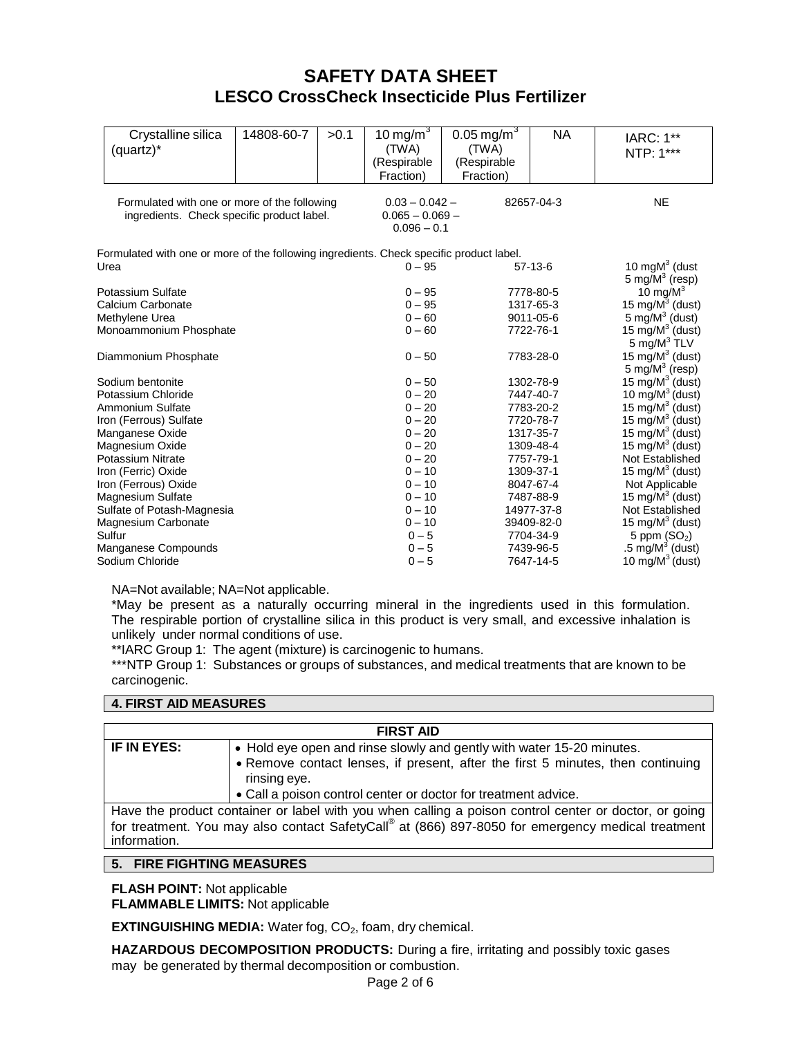# **SAFETY DATA SHEET LESCO CrossCheck Insecticide Plus Fertilizer**

|        | Crystalline silica<br>(quartz)*                                                            | 14808-60-7 | >0.1 | 10 mg/m $3$<br>(TWA)<br>(Respirable<br>Fraction)       | $0.05 \,\mathrm{mg/m^3}$<br>(TWA)<br>(Respirable<br>Fraction) | <b>NA</b>                                          | <b>IARC: 1**</b><br>NTP: 1***                                                         |
|--------|--------------------------------------------------------------------------------------------|------------|------|--------------------------------------------------------|---------------------------------------------------------------|----------------------------------------------------|---------------------------------------------------------------------------------------|
|        | Formulated with one or more of the following<br>ingredients. Check specific product label. |            |      | $0.03 - 0.042 -$<br>$0.065 - 0.069 -$<br>$0.096 - 0.1$ |                                                               | 82657-04-3                                         | <b>NE</b>                                                                             |
| Urea   | Formulated with one or more of the following ingredients. Check specific product label.    |            |      | $0 - 95$                                               |                                                               | $57-13-6$                                          | 10 $mqM3$ (dust                                                                       |
|        | Potassium Sulfate<br>Calcium Carbonate<br>Methylene Urea                                   |            |      | $0 - 95$<br>$0 - 95$<br>$0 - 60$                       |                                                               | 7778-80-5<br>1317-65-3<br>9011-05-6                | 5 mg/ $M^3$ (resp)<br>10 mg/ $M^3$<br>15 mg/ $M^3$ (dust)<br>5 mg/ $M^3$ (dust)       |
|        | Monoammonium Phosphate<br>Diammonium Phosphate                                             |            |      | $0 - 60$<br>$0 - 50$                                   |                                                               | 7722-76-1<br>7783-28-0                             | 15 mg/ $M^3$ (dust)<br>5 mg/ $M^3$ TLV<br>15 mg/ $M^3$ (dust)<br>5 mg/ $M^3$ (resp)   |
|        | Sodium bentonite<br>Potassium Chloride<br><b>Ammonium Sulfate</b>                          |            |      | $0 - 50$<br>$0 - 20$<br>$0 - 20$                       |                                                               | 1302-78-9<br>7447-40-7<br>7783-20-2                | 15 $mg/M^3$ (dust)<br>10 mg/ $M3$ (dust)<br>15 mg/ $M^3$ (dust)                       |
|        | Iron (Ferrous) Sulfate<br>Manganese Oxide<br>Magnesium Oxide<br>Potassium Nitrate          |            |      | $0 - 20$<br>$0 - 20$<br>$0 - 20$<br>$0 - 20$           |                                                               | 7720-78-7<br>1317-35-7<br>1309-48-4<br>7757-79-1   | 15 mg/ $M^3$ (dust)<br>15 mg/ $M^3$ (dust)<br>15 mg/ $M^3$ (dust)<br>Not Established  |
|        | Iron (Ferric) Oxide<br>Iron (Ferrous) Oxide<br>Magnesium Sulfate                           |            |      | $0 - 10$<br>$0 - 10$<br>$0 - 10$                       |                                                               | 1309-37-1<br>8047-67-4<br>7487-88-9                | 15 mg/ $M^3$ (dust)<br>Not Applicable<br>15 mg/ $M^3$ (dust)                          |
| Sulfur | Sulfate of Potash-Magnesia<br>Magnesium Carbonate<br>Manganese Compounds                   |            |      | $0 - 10$<br>$0 - 10$<br>$0 - 5$<br>$0 - 5$             |                                                               | 14977-37-8<br>39409-82-0<br>7704-34-9<br>7439-96-5 | Not Established<br>15 mg/ $M^3$ (dust)<br>5 ppm $(SO2)$<br>$.5 \text{ mg/M}^3$ (dust) |
|        | Sodium Chloride                                                                            |            |      | $0 - 5$                                                |                                                               | 7647-14-5                                          | 10 mg/ $M^3$ (dust)                                                                   |

NA=Not available; NA=Not applicable.

\*May be present as a naturally occurring mineral in the ingredients used in this formulation. The respirable portion of crystalline silica in this product is very small, and excessive inhalation is unlikely under normal conditions of use.

\*\*IARC Group 1: The agent (mixture) is carcinogenic to humans.

\*\*\*NTP Group 1: Substances or groups of substances, and medical treatments that are known to be carcinogenic.

#### **4. FIRST AID MEASURES**

| <b>FIRST AID</b>                                                                                                  |                                                                                 |  |  |  |  |  |  |  |
|-------------------------------------------------------------------------------------------------------------------|---------------------------------------------------------------------------------|--|--|--|--|--|--|--|
| IF IN EYES:                                                                                                       | • Hold eye open and rinse slowly and gently with water 15-20 minutes.           |  |  |  |  |  |  |  |
|                                                                                                                   | • Remove contact lenses, if present, after the first 5 minutes, then continuing |  |  |  |  |  |  |  |
|                                                                                                                   | rinsing eye.                                                                    |  |  |  |  |  |  |  |
|                                                                                                                   | • Call a poison control center or doctor for treatment advice.                  |  |  |  |  |  |  |  |
| Have the product container or label with you when calling a poison control center or doctor, or going             |                                                                                 |  |  |  |  |  |  |  |
| for treatment. You may also contact SafetyCall® at (866) 897-8050 for emergency medical treatment<br>information. |                                                                                 |  |  |  |  |  |  |  |
|                                                                                                                   |                                                                                 |  |  |  |  |  |  |  |
| 5. FIRE FIGHTING MEASURES                                                                                         |                                                                                 |  |  |  |  |  |  |  |

#### **FLASH POINT:** Not applicable

**FLAMMABLE LIMITS:** Not applicable

**EXTINGUISHING MEDIA:** Water fog, CO<sub>2</sub>, foam, dry chemical.

**HAZARDOUS DECOMPOSITION PRODUCTS:** During a fire, irritating and possibly toxic gases may be generated by thermal decomposition or combustion.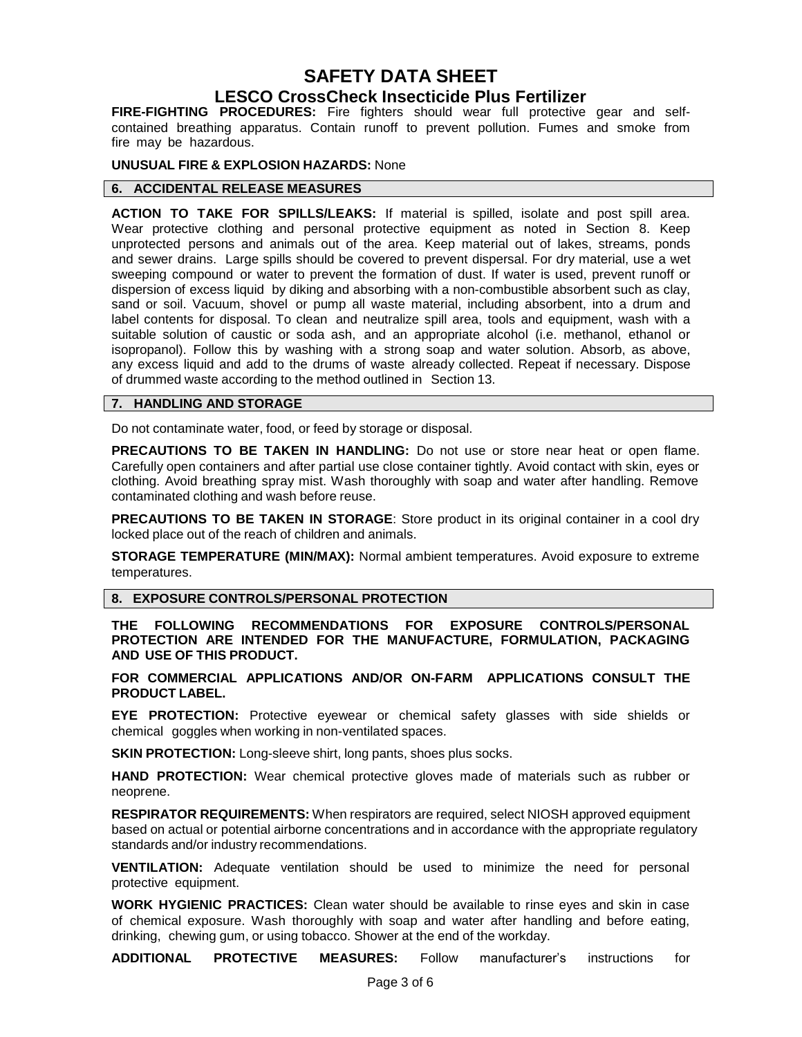## **SAFETY DATA SHEET**

### **LESCO CrossCheck Insecticide Plus Fertilizer**

**FIRE-FIGHTING PROCEDURES:** Fire fighters should wear full protective gear and selfcontained breathing apparatus. Contain runoff to prevent pollution. Fumes and smoke from fire may be hazardous.

#### **UNUSUAL FIRE & EXPLOSION HAZARDS:** None

#### **6. ACCIDENTAL RELEASE MEASURES**

**ACTION TO TAKE FOR SPILLS/LEAKS:** If material is spilled, isolate and post spill area. Wear protective clothing and personal protective equipment as noted in Section 8. Keep unprotected persons and animals out of the area. Keep material out of lakes, streams, ponds and sewer drains. Large spills should be covered to prevent dispersal. For dry material, use a wet sweeping compound or water to prevent the formation of dust. If water is used, prevent runoff or dispersion of excess liquid by diking and absorbing with a non-combustible absorbent such as clay, sand or soil. Vacuum, shovel or pump all waste material, including absorbent, into a drum and label contents for disposal. To clean and neutralize spill area, tools and equipment, wash with a suitable solution of caustic or soda ash, and an appropriate alcohol (i.e. methanol, ethanol or isopropanol). Follow this by washing with a strong soap and water solution. Absorb, as above, any excess liquid and add to the drums of waste already collected. Repeat if necessary. Dispose of drummed waste according to the method outlined in Section 13.

#### **7. HANDLING AND STORAGE**

Do not contaminate water, food, or feed by storage or disposal.

**PRECAUTIONS TO BE TAKEN IN HANDLING:** Do not use or store near heat or open flame. Carefully open containers and after partial use close container tightly. Avoid contact with skin, eyes or clothing. Avoid breathing spray mist. Wash thoroughly with soap and water after handling. Remove contaminated clothing and wash before reuse.

**PRECAUTIONS TO BE TAKEN IN STORAGE**: Store product in its original container in a cool dry locked place out of the reach of children and animals.

**STORAGE TEMPERATURE (MIN/MAX):** Normal ambient temperatures. Avoid exposure to extreme temperatures.

#### **8. EXPOSURE CONTROLS/PERSONAL PROTECTION**

**THE FOLLOWING RECOMMENDATIONS FOR EXPOSURE CONTROLS/PERSONAL PROTECTION ARE INTENDED FOR THE MANUFACTURE, FORMULATION, PACKAGING AND USE OF THIS PRODUCT.**

**FOR COMMERCIAL APPLICATIONS AND/OR ON-FARM APPLICATIONS CONSULT THE PRODUCT LABEL.**

**EYE PROTECTION:** Protective eyewear or chemical safety glasses with side shields or chemical goggles when working in non-ventilated spaces.

**SKIN PROTECTION:** Long-sleeve shirt, long pants, shoes plus socks.

**HAND PROTECTION:** Wear chemical protective gloves made of materials such as rubber or neoprene.

**RESPIRATOR REQUIREMENTS:** When respirators are required, select NIOSH approved equipment based on actual or potential airborne concentrations and in accordance with the appropriate regulatory standards and/or industry recommendations.

**VENTILATION:** Adequate ventilation should be used to minimize the need for personal protective equipment.

**WORK HYGIENIC PRACTICES:** Clean water should be available to rinse eyes and skin in case of chemical exposure. Wash thoroughly with soap and water after handling and before eating, drinking, chewing gum, or using tobacco. Shower at the end of the workday.

**ADDITIONAL PROTECTIVE MEASURES:** Follow manufacturer's instructions for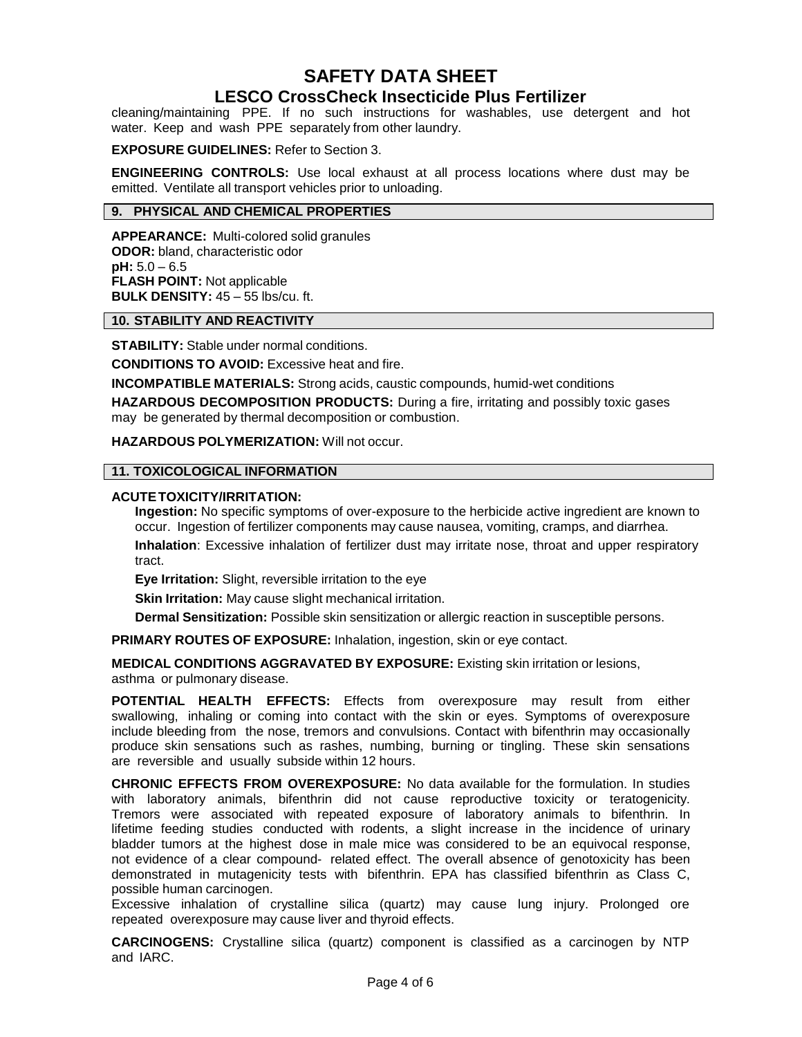## **SAFETY DATA SHEET**

## **LESCO CrossCheck Insecticide Plus Fertilizer**

cleaning/maintaining PPE. If no such instructions for washables, use detergent and hot water. Keep and wash PPE separately from other laundry.

#### **EXPOSURE GUIDELINES:** Refer to Section 3.

**ENGINEERING CONTROLS:** Use local exhaust at all process locations where dust may be emitted. Ventilate all transport vehicles prior to unloading.

#### **9. PHYSICAL AND CHEMICAL PROPERTIES**

**APPEARANCE:** Multi-colored solid granules **ODOR:** bland, characteristic odor **pH:** 5.0 – 6.5 **FLASH POINT:** Not applicable **BULK DENSITY:** 45 – 55 lbs/cu. ft.

#### **10. STABILITY AND REACTIVITY**

**STABILITY:** Stable under normal conditions.

**CONDITIONS TO AVOID:** Excessive heat and fire.

**INCOMPATIBLE MATERIALS:** Strong acids, caustic compounds, humid-wet conditions

**HAZARDOUS DECOMPOSITION PRODUCTS:** During a fire, irritating and possibly toxic gases may be generated by thermal decomposition or combustion.

**HAZARDOUS POLYMERIZATION:** Will not occur.

#### **11. TOXICOLOGICAL INFORMATION**

#### **ACUTE TOXICITY/IRRITATION:**

**Ingestion:** No specific symptoms of over-exposure to the herbicide active ingredient are known to occur. Ingestion of fertilizer components may cause nausea, vomiting, cramps, and diarrhea.

**Inhalation**: Excessive inhalation of fertilizer dust may irritate nose, throat and upper respiratory tract.

**Eye Irritation:** Slight, reversible irritation to the eye

**Skin Irritation:** May cause slight mechanical irritation.

**Dermal Sensitization:** Possible skin sensitization or allergic reaction in susceptible persons.

**PRIMARY ROUTES OF EXPOSURE:** Inhalation, ingestion, skin or eye contact.

**MEDICAL CONDITIONS AGGRAVATED BY EXPOSURE:** Existing skin irritation or lesions, asthma or pulmonary disease.

**POTENTIAL HEALTH EFFECTS:** Effects from overexposure may result from either swallowing, inhaling or coming into contact with the skin or eyes. Symptoms of overexposure include bleeding from the nose, tremors and convulsions. Contact with bifenthrin may occasionally produce skin sensations such as rashes, numbing, burning or tingling. These skin sensations are reversible and usually subside within 12 hours.

**CHRONIC EFFECTS FROM OVEREXPOSURE:** No data available for the formulation. In studies with laboratory animals, bifenthrin did not cause reproductive toxicity or teratogenicity. Tremors were associated with repeated exposure of laboratory animals to bifenthrin. In lifetime feeding studies conducted with rodents, a slight increase in the incidence of urinary bladder tumors at the highest dose in male mice was considered to be an equivocal response, not evidence of a clear compound- related effect. The overall absence of genotoxicity has been demonstrated in mutagenicity tests with bifenthrin. EPA has classified bifenthrin as Class C, possible human carcinogen.

Excessive inhalation of crystalline silica (quartz) may cause lung injury. Prolonged ore repeated overexposure may cause liver and thyroid effects.

**CARCINOGENS:** Crystalline silica (quartz) component is classified as a carcinogen by NTP and IARC.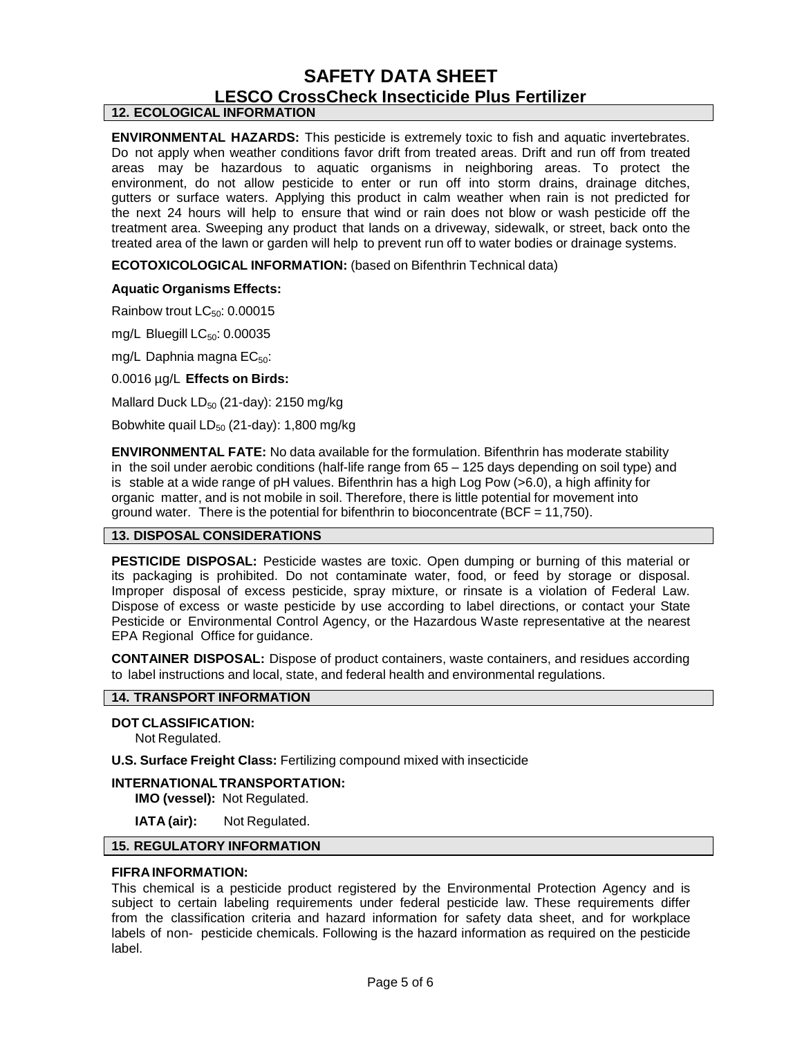# **SAFETY DATA SHEET LESCO CrossCheck Insecticide Plus Fertilizer**

### **12. ECOLOGICAL INFORMATION**

**ENVIRONMENTAL HAZARDS:** This pesticide is extremely toxic to fish and aquatic invertebrates. Do not apply when weather conditions favor drift from treated areas. Drift and run off from treated areas may be hazardous to aquatic organisms in neighboring areas. To protect the environment, do not allow pesticide to enter or run off into storm drains, drainage ditches, gutters or surface waters. Applying this product in calm weather when rain is not predicted for the next 24 hours will help to ensure that wind or rain does not blow or wash pesticide off the treatment area. Sweeping any product that lands on a driveway, sidewalk, or street, back onto the treated area of the lawn or garden will help to prevent run off to water bodies or drainage systems.

**ECOTOXICOLOGICAL INFORMATION:** (based on Bifenthrin Technical data)

#### **Aquatic Organisms Effects:**

Rainbow trout LC<sub>50</sub>: 0.00015

mg/L Bluegill  $LC_{50}$ : 0.00035

mg/L Daphnia magna  $EC_{50}$ :

0.0016 µg/L **Effects on Birds:**

Mallard Duck  $LD_{50}$  (21-day): 2150 mg/kg

Bobwhite quail  $LD_{50}$  (21-day): 1,800 mg/kg

**ENVIRONMENTAL FATE:** No data available for the formulation. Bifenthrin has moderate stability in the soil under aerobic conditions (half-life range from 65 – 125 days depending on soil type) and is stable at a wide range of pH values. Bifenthrin has a high Log Pow (>6.0), a high affinity for organic matter, and is not mobile in soil. Therefore, there is little potential for movement into ground water. There is the potential for bifenthrin to bioconcentrate (BCF =  $11,750$ ).

#### **13. DISPOSAL CONSIDERATIONS**

**PESTICIDE DISPOSAL:** Pesticide wastes are toxic. Open dumping or burning of this material or its packaging is prohibited. Do not contaminate water, food, or feed by storage or disposal. Improper disposal of excess pesticide, spray mixture, or rinsate is a violation of Federal Law. Dispose of excess or waste pesticide by use according to label directions, or contact your State Pesticide or Environmental Control Agency, or the Hazardous Waste representative at the nearest EPA Regional Office for guidance.

**CONTAINER DISPOSAL:** Dispose of product containers, waste containers, and residues according to label instructions and local, state, and federal health and environmental regulations.

#### **14. TRANSPORT INFORMATION**

#### **DOT CLASSIFICATION:**

Not Regulated.

**U.S. Surface Freight Class:** Fertilizing compound mixed with insecticide

#### **INTERNATIONAL TRANSPORTATION:**

**IMO (vessel):** Not Regulated.

**IATA (air):** Not Regulated.

#### **15. REGULATORY INFORMATION**

#### **FIFRA INFORMATION:**

This chemical is a pesticide product registered by the Environmental Protection Agency and is subject to certain labeling requirements under federal pesticide law. These requirements differ from the classification criteria and hazard information for safety data sheet, and for workplace labels of non- pesticide chemicals. Following is the hazard information as required on the pesticide label.